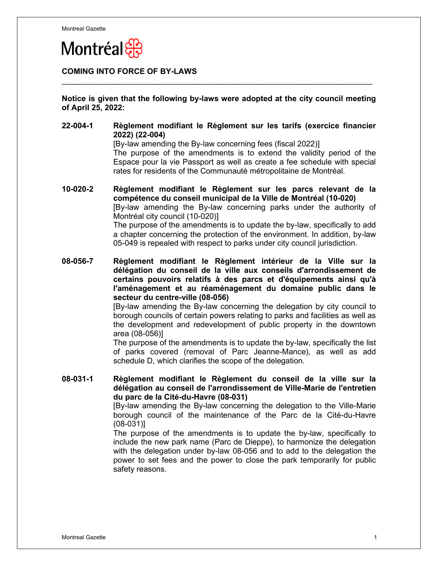

## **COMING INTO FORCE OF BY-LAWS**

**Notice is given that the following by-laws were adopted at the city council meeting of April 25, 2022:**

 $\_$  , and the set of the set of the set of the set of the set of the set of the set of the set of the set of the set of the set of the set of the set of the set of the set of the set of the set of the set of the set of th

**22-004-1 Règlement modifiant le Règlement sur les tarifs (exercice financier 2022) (22-004)**

[By-law amending the By-law concerning fees (fiscal 2022)]

The purpose of the amendments is to extend the validity period of the Espace pour la vie Passport as well as create a fee schedule with special rates for residents of the Communauté métropolitaine de Montréal.

**10-020-2 Règlement modifiant le Règlement sur les parcs relevant de la compétence du conseil municipal de la Ville de Montréal (10-020)**  [By-law amending the By-law concerning parks under the authority of Montréal city council (10-020)] The purpose of the amendments is to update the by-law, specifically to add a chapter concerning the protection of the environment. In addition, by-law 05-049 is repealed with respect to parks under city council jurisdiction.

**08-056-7 Règlement modifiant le Règlement intérieur de la Ville sur la délégation du conseil de la ville aux conseils d'arrondissement de certains pouvoirs relatifs à des parcs et d'équipements ainsi qu'à l'aménagement et au réaménagement du domaine public dans le secteur du centre-ville (08-056)** 

> [By-law amending the By-law concerning the delegation by city council to borough councils of certain powers relating to parks and facilities as well as the development and redevelopment of public property in the downtown area (08-056)]

> The purpose of the amendments is to update the by-law, specifically the list of parks covered (removal of Parc Jeanne-Mance), as well as add schedule D, which clarifies the scope of the delegation.

**08-031-1 Règlement modifiant le Règlement du conseil de la ville sur la délégation au conseil de l'arrondissement de Ville-Marie de l'entretien du parc de la Cité-du-Havre (08-031)** 

[By-law amending the By-law concerning the delegation to the Ville-Marie borough council of the maintenance of the Parc de la Cité-du-Havre (08-031)]

The purpose of the amendments is to update the by-law, specifically to include the new park name (Parc de Dieppe), to harmonize the delegation with the delegation under by-law 08-056 and to add to the delegation the power to set fees and the power to close the park temporarily for public safety reasons.